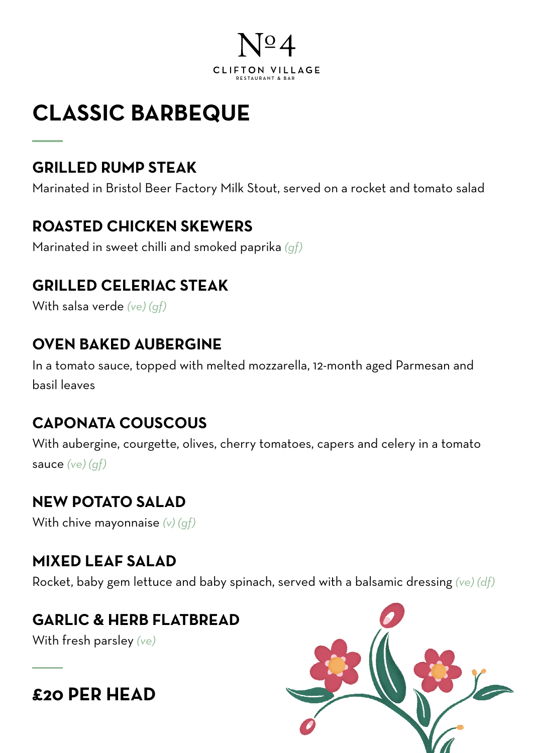

## **CLASSIC BARBEQUE**

#### **GRILLED RUMP STEAK**

Marinated in Bristol Beer Factory Milk Stout, served on a rocket and tomato salad

#### **ROASTED CHICKEN SKEWERS**

Marinated in sweet chilli and smoked paprika *(gf)*

#### **GRILLED CELERIAC STEAK**

With salsa verde *(ve) (gf)*

#### **OVEN BAKED AUBERGINE**

In a tomato sauce, topped with melted mozzarella, 12-month aged Parmesan and basil leaves

#### **CAPONATA COUSCOUS**

With aubergine, courgette, olives, cherry tomatoes, capers and celery in a tomato sauce *(ve) (gf)*

#### **NEW POTATO SALAD**

With chive mayonnaise *(v) (gf)*

#### **MIXED LEAF SALAD**

Rocket, baby gem lettuce and baby spinach, served with a balsamic dressing *(ve) (df)*

#### **GARLIC & HERB FLATBREAD**

With fresh parsley *(ve)*

### **£20 PER HEAD**

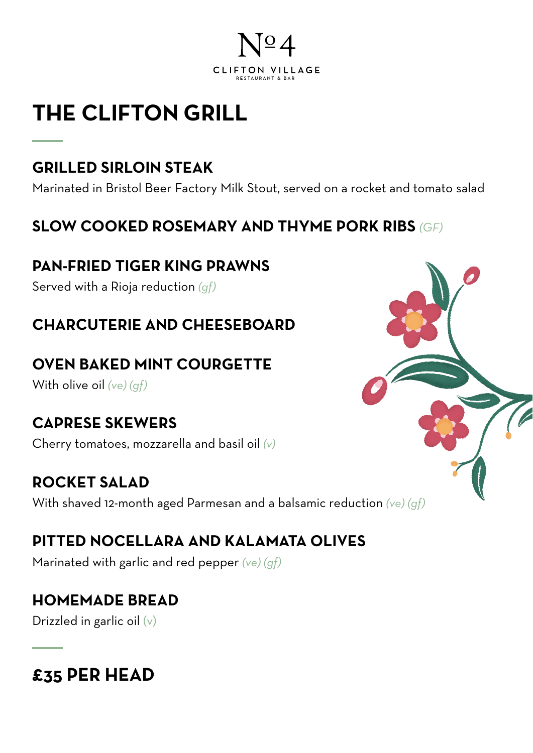

## **THE CLIFTON GRILL**

#### **GRILLED SIRLOIN STEAK**

Marinated in Bristol Beer Factory Milk Stout, served on a rocket and tomato salad

#### **SLOW COOKED ROSEMARY AND THYME PORK RIBS** *(GF)*

#### **PAN-FRIED TIGER KING PRAWNS**

Served with a Rioja reduction *(gf)*

#### **CHARCUTERIE AND CHEESEBOARD**

#### **OVEN BAKED MINT COURGETTE**

With olive oil *(ve) (gf)*

#### **CAPRESE SKEWERS**

Cherry tomatoes, mozzarella and basil oil *(v)*

#### **ROCKET SALAD**

With shaved 12-month aged Parmesan and a balsamic reduction *(ve) (gf)*

### **PITTED NOCELLARA AND KALAMATA OLIVES**

Marinated with garlic and red pepper *(ve) (gf)*

#### **HOMEMADE BREAD**

Drizzled in garlic oil (v)

### **£35 PER HEAD**

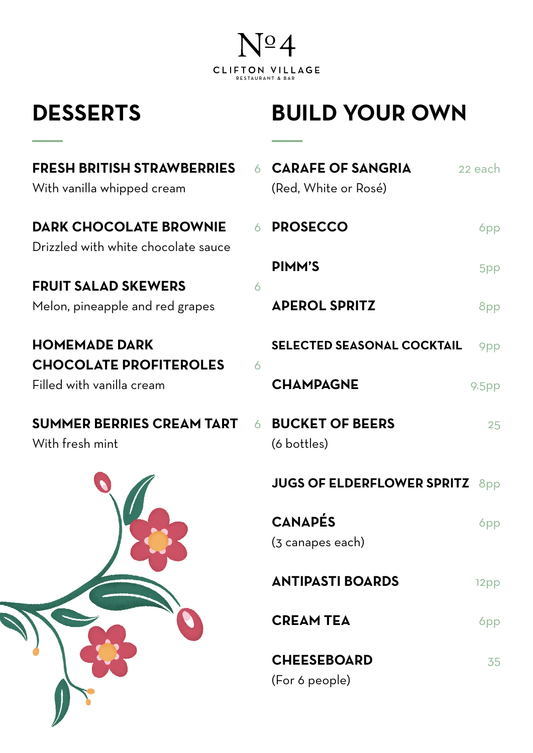

### **DESSERTS**

## **BUILD YOUR OWN**

| <b>FRESH BRITISH STRAWBERRIES</b><br>With vanilla whipped cream |   | <b>CARAFE OF SANGRIA</b><br>(Red, White or Rosé) | 22 each           |
|-----------------------------------------------------------------|---|--------------------------------------------------|-------------------|
| <b>DARK CHOCOLATE BROWNIE</b>                                   | 6 | <b>PROSECCO</b>                                  | 6pp               |
| Drizzled with white chocolate sauce                             |   | <b>PIMM'S</b>                                    | 5pp               |
| <b>FRUIT SALAD SKEWERS</b>                                      | 6 |                                                  |                   |
| Melon, pineapple and red grapes                                 |   | <b>APEROL SPRITZ</b>                             | 8pp               |
| <b>HOMEMADE DARK</b>                                            |   | <b>SELECTED SEASONAL COCKTAIL</b>                | 9pp               |
| <b>CHOCOLATE PROFITEROLES</b><br>Filled with vanilla cream      | 6 | <b>CHAMPAGNE</b>                                 | 9.5 <sub>pp</sub> |
| <b>SUMMER BERRIES CREAM TART</b><br>With fresh mint             | 6 | <b>BUCKET OF BEERS</b><br>(6 bottles)            | 25                |
|                                                                 |   | <b>JUGS OF ELDERFLOWER SPRITZ</b>                | 8 <sub>pp</sub>   |
|                                                                 |   | <b>CANAPÉS</b>                                   | <b>6pp</b>        |
|                                                                 |   | (3 canapes each)                                 |                   |
|                                                                 |   | <b>ANTIPASTI BOARDS</b>                          | 12pp              |
|                                                                 |   | <b>CREAM TEA</b>                                 | 6 <sub>pp</sub>   |
|                                                                 |   | <b>CHEESEBOARD</b>                               | 35                |
|                                                                 |   | (For 6 people)                                   |                   |